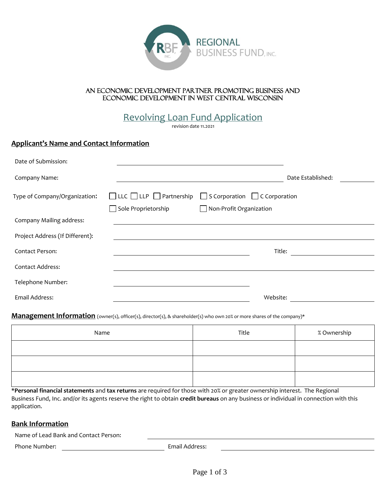

## An economic development partner promoting business and economic development in west central Wisconsin

Revolving Loan Fund Application

revision date 11.2021

# **Applicant's Name and Contact Information**

| Date of Submission:             |                                          |                                           |                   |
|---------------------------------|------------------------------------------|-------------------------------------------|-------------------|
| Company Name:                   |                                          |                                           | Date Established: |
| Type of Company/Organization:   | $\Box$ LLC $\Box$ LLP $\Box$ Partnership | $\Box$ S Corporation $\Box$ C Corporation |                   |
|                                 | $\Box$ Sole Proprietorship               | $\Box$ Non-Profit Organization            |                   |
| Company Mailing address:        |                                          |                                           |                   |
| Project Address (If Different): |                                          |                                           |                   |
| <b>Contact Person:</b>          |                                          |                                           | Title:            |
| <b>Contact Address:</b>         |                                          |                                           |                   |
| Telephone Number:               |                                          |                                           |                   |
| Email Address:                  |                                          |                                           | Website:          |

## **Management Information** (owner(s), officer(s), director(s), & shareholder(s) who own 20% or more shares of the company)\*

| Name | Title | % Ownership |
|------|-------|-------------|
|      |       |             |
|      |       |             |
|      |       |             |

\***Personal financial statements** and **tax returns** are required for those with 20% or greater ownership interest. The Regional Business Fund, Inc. and/or its agents reserve the right to obtain **credit bureaus** on any business or individual in connection with this application.

## **Bank Information**

Name of Lead Bank and Contact Person:

Phone Number: Email Address:

<u> 1980 - Johann Barn, mars an t-Amerikaansk politiker (</u>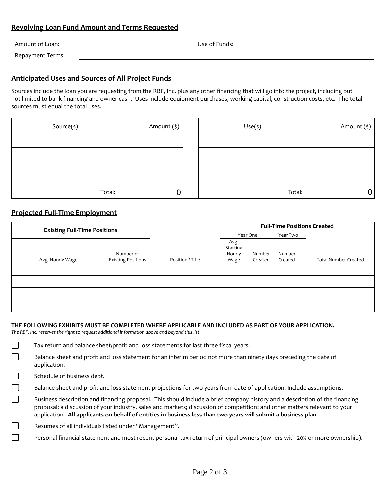# **Revolving Loan Fund Amount and Terms Requested**

| Amount of Loan:  | Use of Funds: |
|------------------|---------------|
| Repayment Terms: |               |

# **Anticipated Uses and Sources of All Project Funds**

Sources include the loan you are requesting from the RBF, Inc. plus any other financing that will go into the project, including but not limited to bank financing and owner cash. Uses include equipment purchases, working capital, construction costs, etc. The total sources must equal the total uses.

| Source(s) | Amount (\$) | Use(s) | Amount (\$) |
|-----------|-------------|--------|-------------|
|           |             |        |             |
|           |             |        |             |
|           |             |        |             |
|           |             |        |             |
| Total:    | 0           | Total: |             |

## **Projected Full-Time Employment**

| <b>Existing Full-Time Positions</b> |                                        |                  | <b>Full-Time Positions Created</b> |                   |                   |                             |
|-------------------------------------|----------------------------------------|------------------|------------------------------------|-------------------|-------------------|-----------------------------|
|                                     |                                        |                  |                                    | Year One          | Year Two          |                             |
| Avg. Hourly Wage                    | Number of<br><b>Existing Positions</b> | Position / Title | Avg.<br>Starting<br>Hourly<br>Wage | Number<br>Created | Number<br>Created | <b>Total Number Created</b> |
|                                     |                                        |                  |                                    |                   |                   |                             |
|                                     |                                        |                  |                                    |                   |                   |                             |
|                                     |                                        |                  |                                    |                   |                   |                             |
|                                     |                                        |                  |                                    |                   |                   |                             |

### **THE FOLLOWING EXHIBITS MUST BE COMPLETED WHERE APPLICABLE AND INCLUDED AS PART OF YOUR APPLICATION.**

*The RBF, Inc. reserves the right to request additional information above and beyond this list.* 

 $\Box$ Tax return and balance sheet/profit and loss statements for last three fiscal years.

Balance sheet and profit and loss statement for an interim period not more than ninety days preceding the date of application.

Schedule of business debt.

 $\mathsf{L}$ 

 $\Box$ 

 $\Box$ 

Balance sheet and profit and loss statement projections for two years from date of application. Include assumptions.

Business description and financing proposal. This should include a brief company history and a description of the financing proposal; a discussion of your industry, sales and markets; discussion of competition; and other matters relevant to your application. **All applicants on behalf of entities in business less than two years will submit a business plan.**

Resumes of all individuals listed under "Management".

Personal financial statement and most recent personal tax return of principal owners (owners with 20% or more ownership).